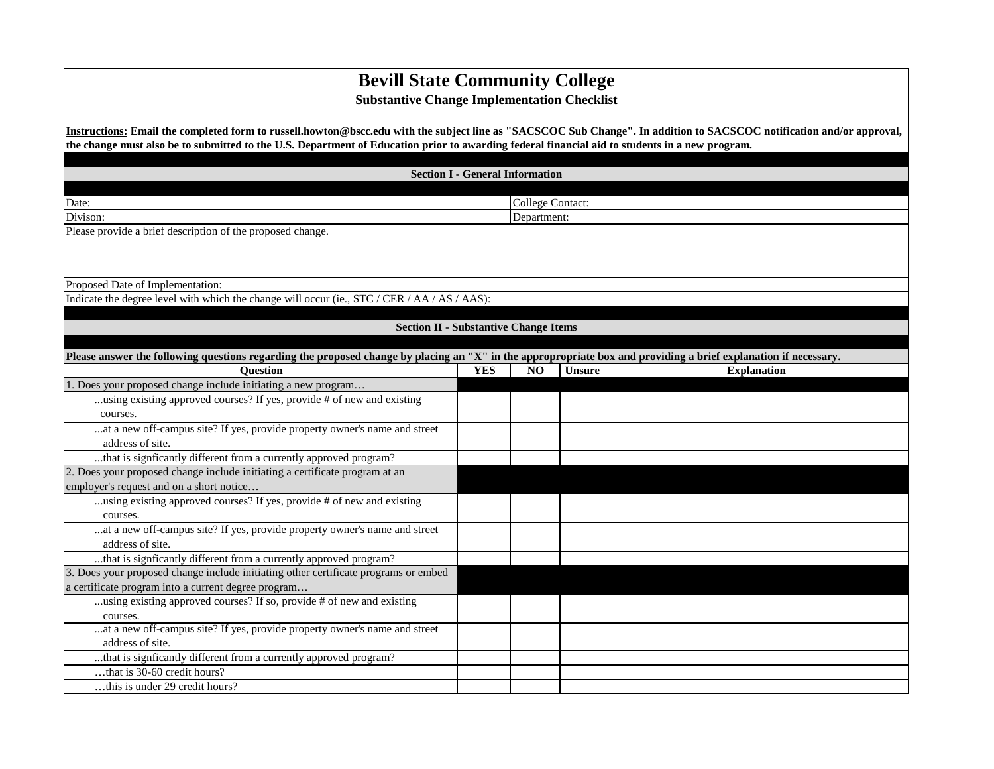## **Bevill State Community College**

## **Substantive Change Implementation Checklist**

**Instructions: Email the completed form to russell.howton@bscc.edu with the subject line as "SACSCOC Sub Change". In addition to SACSCOC notification and/or approval, the change must also be to submitted to the U.S. Department of Education prior to awarding federal financial aid to students in a new program.** 

| <b>Section I - General Information</b>                                                                                                                          |            |                                        |               |                    |  |
|-----------------------------------------------------------------------------------------------------------------------------------------------------------------|------------|----------------------------------------|---------------|--------------------|--|
|                                                                                                                                                                 |            |                                        |               |                    |  |
| Date:                                                                                                                                                           |            |                                        |               |                    |  |
| Divison:                                                                                                                                                        |            | <b>College Contact:</b><br>Department: |               |                    |  |
| Please provide a brief description of the proposed change.                                                                                                      |            |                                        |               |                    |  |
|                                                                                                                                                                 |            |                                        |               |                    |  |
|                                                                                                                                                                 |            |                                        |               |                    |  |
|                                                                                                                                                                 |            |                                        |               |                    |  |
| Proposed Date of Implementation:                                                                                                                                |            |                                        |               |                    |  |
| Indicate the degree level with which the change will occur (ie., STC / CER / AA / AS / AAS):                                                                    |            |                                        |               |                    |  |
|                                                                                                                                                                 |            |                                        |               |                    |  |
| <b>Section II - Substantive Change Items</b>                                                                                                                    |            |                                        |               |                    |  |
| Please answer the following questions regarding the proposed change by placing an "X" in the appropropriate box and providing a brief explanation if necessary. |            |                                        |               |                    |  |
| <b>Question</b>                                                                                                                                                 | <b>YES</b> | N <sub>O</sub>                         | <b>Unsure</b> | <b>Explanation</b> |  |
| 1. Does your proposed change include initiating a new program                                                                                                   |            |                                        |               |                    |  |
| using existing approved courses? If yes, provide # of new and existing                                                                                          |            |                                        |               |                    |  |
| courses.                                                                                                                                                        |            |                                        |               |                    |  |
| at a new off-campus site? If yes, provide property owner's name and street                                                                                      |            |                                        |               |                    |  |
| address of site.                                                                                                                                                |            |                                        |               |                    |  |
| that is signficantly different from a currently approved program?                                                                                               |            |                                        |               |                    |  |
| 2. Does your proposed change include initiating a certificate program at an                                                                                     |            |                                        |               |                    |  |
| employer's request and on a short notice                                                                                                                        |            |                                        |               |                    |  |
| using existing approved courses? If yes, provide # of new and existing                                                                                          |            |                                        |               |                    |  |
| courses.                                                                                                                                                        |            |                                        |               |                    |  |
| at a new off-campus site? If yes, provide property owner's name and street                                                                                      |            |                                        |               |                    |  |
| address of site.                                                                                                                                                |            |                                        |               |                    |  |
| that is signficantly different from a currently approved program?                                                                                               |            |                                        |               |                    |  |
| 3. Does your proposed change include initiating other certificate programs or embed                                                                             |            |                                        |               |                    |  |
| a certificate program into a current degree program                                                                                                             |            |                                        |               |                    |  |
| using existing approved courses? If so, provide # of new and existing                                                                                           |            |                                        |               |                    |  |
| courses.                                                                                                                                                        |            |                                        |               |                    |  |
| at a new off-campus site? If yes, provide property owner's name and street                                                                                      |            |                                        |               |                    |  |
| address of site.                                                                                                                                                |            |                                        |               |                    |  |
| that is signficantly different from a currently approved program?<br>that is 30-60 credit hours?                                                                |            |                                        |               |                    |  |
|                                                                                                                                                                 |            |                                        |               |                    |  |
| this is under 29 credit hours?                                                                                                                                  |            |                                        |               |                    |  |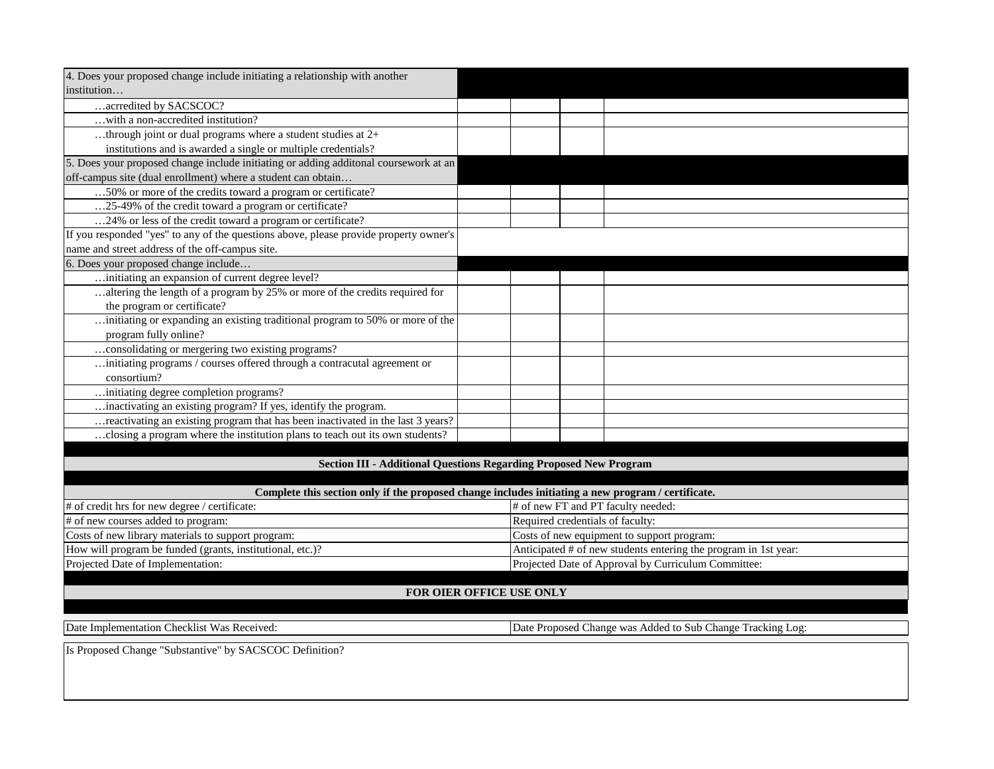| 4. Does your proposed change include initiating a relationship with another           |                                                                                                    |  |  |  |
|---------------------------------------------------------------------------------------|----------------------------------------------------------------------------------------------------|--|--|--|
| institution                                                                           |                                                                                                    |  |  |  |
| acrredited by SACSCOC?                                                                |                                                                                                    |  |  |  |
| with a non-accredited institution?                                                    |                                                                                                    |  |  |  |
| through joint or dual programs where a student studies at 2+                          |                                                                                                    |  |  |  |
| institutions and is awarded a single or multiple credentials?                         |                                                                                                    |  |  |  |
| 5. Does your proposed change include initiating or adding additonal coursework at an  |                                                                                                    |  |  |  |
| off-campus site (dual enrollment) where a student can obtain                          |                                                                                                    |  |  |  |
| 50% or more of the credits toward a program or certificate?                           |                                                                                                    |  |  |  |
| 25-49% of the credit toward a program or certificate?                                 |                                                                                                    |  |  |  |
| 24% or less of the credit toward a program or certificate?                            |                                                                                                    |  |  |  |
| If you responded "yes" to any of the questions above, please provide property owner's |                                                                                                    |  |  |  |
| name and street address of the off-campus site.                                       |                                                                                                    |  |  |  |
| 6. Does your proposed change include                                                  |                                                                                                    |  |  |  |
| initiating an expansion of current degree level?                                      |                                                                                                    |  |  |  |
| altering the length of a program by $25\%$ or more of the credits required for        |                                                                                                    |  |  |  |
| the program or certificate?                                                           |                                                                                                    |  |  |  |
| initiating or expanding an existing traditional program to 50% or more of the         |                                                                                                    |  |  |  |
| program fully online?                                                                 |                                                                                                    |  |  |  |
| consolidating or mergering two existing programs?                                     |                                                                                                    |  |  |  |
| initiating programs / courses offered through a contracutal agreement or              |                                                                                                    |  |  |  |
| consortium?                                                                           |                                                                                                    |  |  |  |
| initiating degree completion programs?                                                |                                                                                                    |  |  |  |
| inactivating an existing program? If yes, identify the program.                       |                                                                                                    |  |  |  |
| reactivating an existing program that has been inactivated in the last 3 years?       |                                                                                                    |  |  |  |
| closing a program where the institution plans to teach out its own students?          |                                                                                                    |  |  |  |
|                                                                                       |                                                                                                    |  |  |  |
|                                                                                       | <b>Section III - Additional Questions Regarding Proposed New Program</b>                           |  |  |  |
|                                                                                       |                                                                                                    |  |  |  |
|                                                                                       | Complete this section only if the proposed change includes initiating a new program / certificate. |  |  |  |
| # of credit hrs for new degree / certificate:<br># of new courses added to program:   | # of new FT and PT faculty needed:<br>Required credentials of faculty:                             |  |  |  |
|                                                                                       |                                                                                                    |  |  |  |
| Costs of new library materials to support program:                                    | Costs of new equipment to support program:                                                         |  |  |  |
| How will program be funded (grants, institutional, etc.)?                             | Anticipated # of new students entering the program in 1st year:                                    |  |  |  |
| Projected Date of Implementation:                                                     | Projected Date of Approval by Curriculum Committee:                                                |  |  |  |
| FOR OIER OFFICE USE ONLY                                                              |                                                                                                    |  |  |  |
|                                                                                       |                                                                                                    |  |  |  |
|                                                                                       |                                                                                                    |  |  |  |
| Date Implementation Checklist Was Received:                                           | Date Proposed Change was Added to Sub Change Tracking Log:                                         |  |  |  |
| Is Proposed Change "Substantive" by SACSCOC Definition?                               |                                                                                                    |  |  |  |